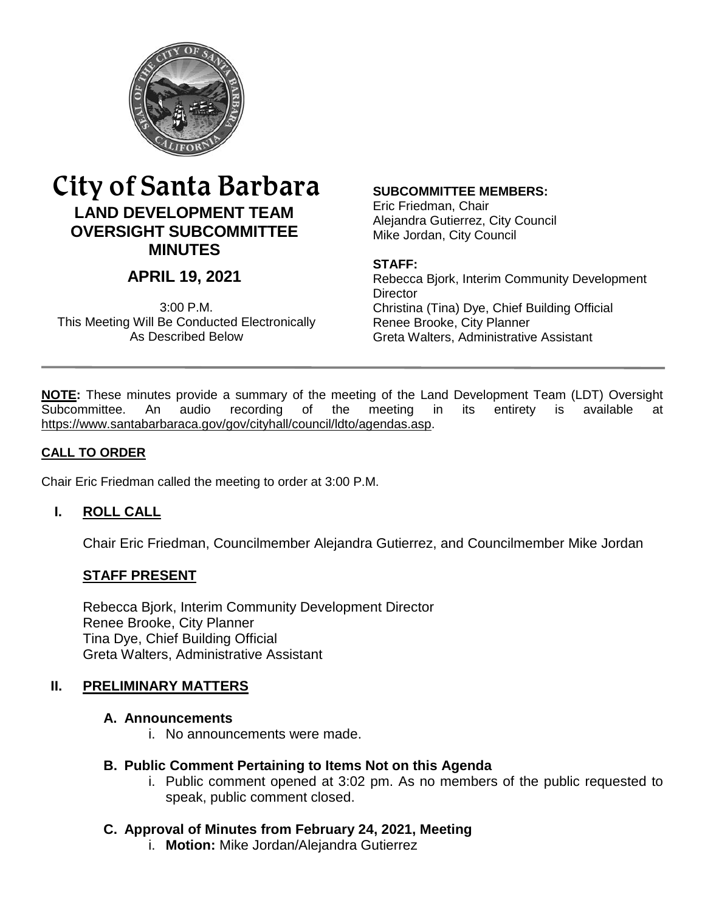

# City of Santa Barbara **LAND DEVELOPMENT TEAM OVERSIGHT SUBCOMMITTEE MINUTES**

# **APRIL 19, 2021**

3:00 P.M. This Meeting Will Be Conducted Electronically As Described Below

#### **SUBCOMMITTEE MEMBERS:**

Eric Friedman, Chair Alejandra Gutierrez, City Council Mike Jordan, City Council

#### **STAFF:**

Rebecca Bjork, Interim Community Development **Director** Christina (Tina) Dye, Chief Building Official Renee Brooke, City Planner Greta Walters, Administrative Assistant

**NOTE:** These minutes provide a summary of the meeting of the Land Development Team (LDT) Oversight Subcommittee. An audio recording of the meeting in its entirety is available at [https://www.santabarbaraca.gov/gov/cityhall/council/ldto/agendas.asp.](https://www.santabarbaraca.gov/gov/cityhall/council/ldto/agendas.asp)

#### **CALL TO ORDER**

Chair Eric Friedman called the meeting to order at 3:00 P.M.

# **I. ROLL CALL**

Chair Eric Friedman, Councilmember Alejandra Gutierrez, and Councilmember Mike Jordan

#### **STAFF PRESENT**

Rebecca Bjork, Interim Community Development Director Renee Brooke, City Planner Tina Dye, Chief Building Official Greta Walters, Administrative Assistant

#### **II. PRELIMINARY MATTERS**

#### **A. Announcements**

i. No announcements were made.

#### **B. Public Comment Pertaining to Items Not on this Agenda**

i. Public comment opened at 3:02 pm. As no members of the public requested to speak, public comment closed.

#### **C. Approval of Minutes from February 24, 2021, Meeting**

i. **Motion:** Mike Jordan/Alejandra Gutierrez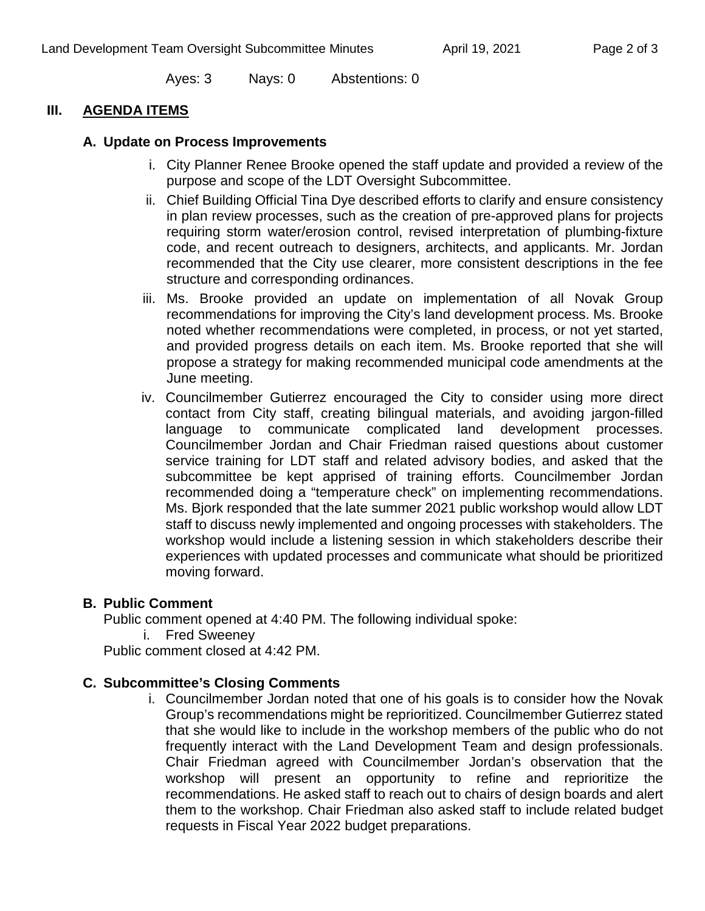Ayes: 3 Nays: 0 Abstentions: 0

#### **III. AGENDA ITEMS**

#### **A. Update on Process Improvements**

- i. City Planner Renee Brooke opened the staff update and provided a review of the purpose and scope of the LDT Oversight Subcommittee.
- ii. Chief Building Official Tina Dye described efforts to clarify and ensure consistency in plan review processes, such as the creation of pre-approved plans for projects requiring storm water/erosion control, revised interpretation of plumbing-fixture code, and recent outreach to designers, architects, and applicants. Mr. Jordan recommended that the City use clearer, more consistent descriptions in the fee structure and corresponding ordinances.
- iii. Ms. Brooke provided an update on implementation of all Novak Group recommendations for improving the City's land development process. Ms. Brooke noted whether recommendations were completed, in process, or not yet started, and provided progress details on each item. Ms. Brooke reported that she will propose a strategy for making recommended municipal code amendments at the June meeting.
- iv. Councilmember Gutierrez encouraged the City to consider using more direct contact from City staff, creating bilingual materials, and avoiding jargon-filled language to communicate complicated land development processes. Councilmember Jordan and Chair Friedman raised questions about customer service training for LDT staff and related advisory bodies, and asked that the subcommittee be kept apprised of training efforts. Councilmember Jordan recommended doing a "temperature check" on implementing recommendations. Ms. Bjork responded that the late summer 2021 public workshop would allow LDT staff to discuss newly implemented and ongoing processes with stakeholders. The workshop would include a listening session in which stakeholders describe their experiences with updated processes and communicate what should be prioritized moving forward.

#### **B. Public Comment**

Public comment opened at 4:40 PM. The following individual spoke:

i. Fred Sweeney

Public comment closed at 4:42 PM.

# **C. Subcommittee's Closing Comments**

i. Councilmember Jordan noted that one of his goals is to consider how the Novak Group's recommendations might be reprioritized. Councilmember Gutierrez stated that she would like to include in the workshop members of the public who do not frequently interact with the Land Development Team and design professionals. Chair Friedman agreed with Councilmember Jordan's observation that the workshop will present an opportunity to refine and reprioritize the recommendations. He asked staff to reach out to chairs of design boards and alert them to the workshop. Chair Friedman also asked staff to include related budget requests in Fiscal Year 2022 budget preparations.